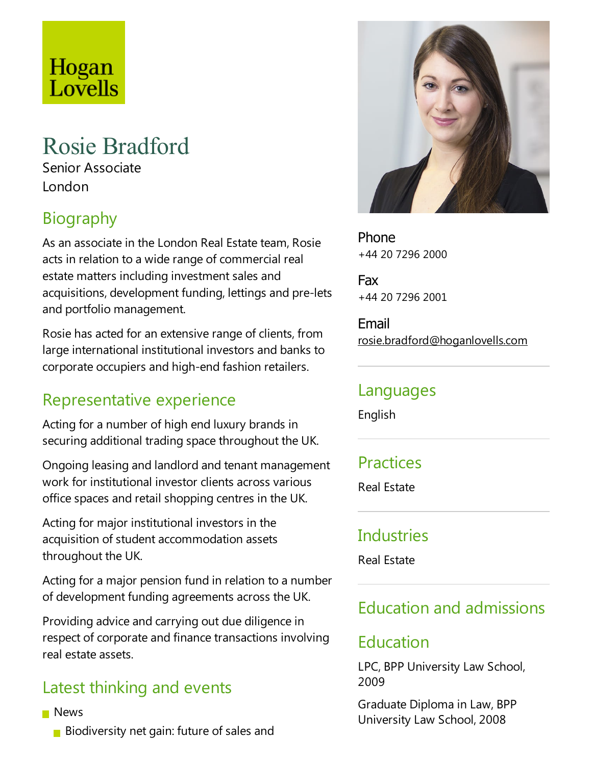# Hogan Lovells

## Rosie Bradford

Senior Associate London

## Biography

As an associate in the London Real Estate team, Rosie acts in relation to a wide range of commercial real estate matters including investment sales and acquisitions, development funding, lettings and pre-lets and portfolio management.

Rosie has acted for an extensive range of clients, from large international institutional investors and banks to corporate occupiers and high-end fashion retailers.

## Representative experience

Acting for a number of high end luxury brands in securing additional trading space throughout the UK.

Ongoing leasing and landlord and tenant management work for institutional investor clients across various office spaces and retail shopping centres in the UK.

Acting for major institutional investors in the acquisition of student accommodation assets throughout the UK.

Acting for a major pension fund in relation to a number of development funding agreements across the UK.

Providing advice and carrying out due diligence in respect of corporate and finance transactions involving real estate assets.

## Latest thinking and events

- **News** 
	- **Biodiversity net gain: future of sales and**



Phone +44 20 7296 2000

Fax +44 20 7296 2001

Email rosie.bradford@hoganlovells.com

#### Languages

English

## **Practices**

Real Estate

#### Industries

Real Estate

## Education and admissions

## Education

LPC, BPP University Law School, 2009

Graduate Diploma in Law, BPP University Law School, 2008